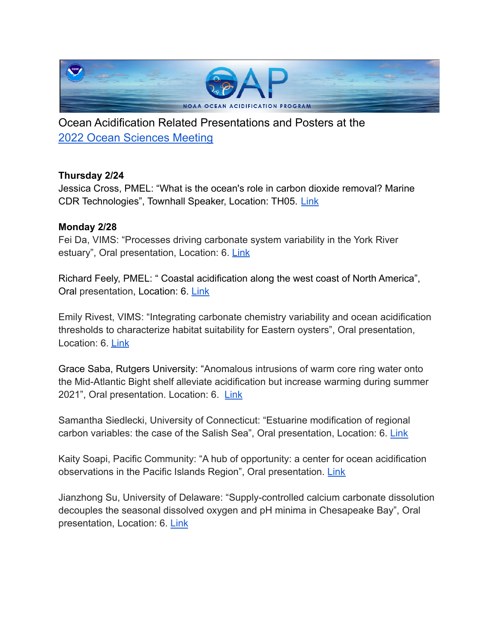

Ocean Acidification Related Presentations and Posters at the 2022 Ocean [Sciences](https://www.aslo.org/osm2022/) Meeting

# **Thursday 2/24**

Jessica Cross, PMEL: "What is the ocean's role in carbon dioxide removal? Marine CDR Technologies", Townhall Speaker, Location: TH05. [Link](https://www.aslo.org/osm2022/town-halls/)

## **Monday 2/28**

Fei Da, VIMS: "Processes driving carbonate system variability in the York River estuary", Oral presentation, Location: 6. [Link](https://osm2022.secure-platform.com/a/gallery/rounds/3/details/2781)

Richard Feely, PMEL: " Coastal acidification along the west coast of North America", Oral presentation, Location: 6. [Link](https://osm2022.secure-platform.com/a/gallery/rounds/3/details/5033)

Emily Rivest, VIMS: "Integrating carbonate chemistry variability and ocean acidification thresholds to characterize habitat suitability for Eastern oysters", Oral presentation, Location: 6. [Link](https://osm2022.secure-platform.com/a/gallery/rounds/3/details/6176)

Grace Saba, Rutgers University: "Anomalous intrusions of warm core ring water onto the Mid-Atlantic Bight shelf alleviate acidification but increase warming during summer 2021", Oral presentation. Location: 6. [Link](https://osm2022.secure-platform.com/a/gallery/rounds/3/details/5073)

Samantha Siedlecki, University of Connecticut: "Estuarine modification of regional carbon variables: the case of the Salish Sea", Oral presentation, Location: 6. [Link](https://osm2022.secure-platform.com/a/gallery/rounds/3/details/5842)

Kaity Soapi, Pacific Community: "A hub of opportunity: a center for ocean acidification observations in the Pacific Islands Region", Oral presentation. [Link](https://osm2022.secure-platform.com/a/gallery/rounds/3/details/5376)

Jianzhong Su, University of Delaware: "Supply-controlled calcium carbonate dissolution decouples the seasonal dissolved oxygen and pH minima in Chesapeake Bay", Oral presentation, Location: 6. [Link](https://osm2022.secure-platform.com/a/gallery/rounds/3/details/4042)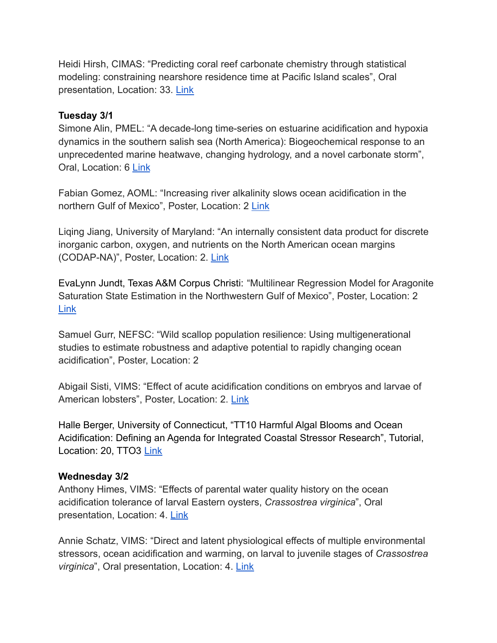Heidi Hirsh, CIMAS: "Predicting coral reef carbonate chemistry through statistical modeling: constraining nearshore residence time at Pacific Island scales", Oral presentation, Location: 33. [Link](https://osm2022.secure-platform.com/a/gallery/rounds/3/details/1737)

## **Tuesday 3/1**

Simone Alin, PMEL: "A decade-long time-series on estuarine acidification and hypoxia dynamics in the southern salish sea (North America): Biogeochemical response to an unprecedented marine heatwave, changing hydrology, and a novel carbonate storm", Oral, Location: 6 [Link](https://osm2022.secure-platform.com/a/gallery/rounds/3/details/6894)

Fabian Gomez, AOML: "Increasing river alkalinity slows ocean acidification in the northern Gulf of Mexico", Poster, Location: 2 [Link](https://osm2022.secure-platform.com/a/gallery/rounds/3/details/9114)

Liqing Jiang, University of Maryland: "An internally [consistent data product for discrete](https://osm2022.secure-platform.com/a/gallery/rounds/3/details/6236) [inorganic carbon, oxygen, and nutrients on the North American ocean margins](https://osm2022.secure-platform.com/a/gallery/rounds/3/details/6236) [\(CODAP-NA\)](https://osm2022.secure-platform.com/a/gallery/rounds/3/details/6236)", Poster, Location: 2. [Link](https://osm2022.secure-platform.com/a/gallery/rounds/3/details/6236)

EvaLynn Jundt, Texas A&M Corpus Christi: "Multilinear Regression Model for Aragonite Saturation State Estimation in the Northwestern Gulf of Mexico", Poster, Location: 2 [Link](https://osm2022.secure-platform.com/a/gallery/rounds/3/details/2665)

Samuel Gurr, NEFSC: "Wild scallop population resilience: Using multigenerational studies to estimate robustness and adaptive potential to rapidly changing ocean acidification", Poster, Location: 2

Abigail Sisti, VIMS: "Effect of acute acidification conditions on embryos and larvae of American lobsters", Poster, Location: 2. [Link](https://osm2022.secure-platform.com/a/gallery/rounds/3/details/4265)

Halle Berger, University of Connecticut, "TT10 Harmful Algal Blooms and Ocean Acidification: Defining an Agenda for Integrated Coastal Stressor Research", Tutorial, Location: 20, TTO3 [Link](https://www.aslo.org/osm2022/tutorials/)

#### **Wednesday 3/2**

Anthony Himes, VIMS: "Effects of parental water quality history on the ocean acidification tolerance of larval Eastern oysters, *Crassostrea virginica*", Oral presentation, Location: 4. [Link](https://osm2022.secure-platform.com/a/gallery/rounds/3/details/6673)

Annie Schatz, VIMS: "Direct and latent physiological effects of multiple environmental stressors, ocean acidification and warming, on larval to juvenile stages of *Crassostrea virginica*", Oral presentation, Location: 4. [Link](https://osm2022.secure-platform.com/a/gallery/rounds/3/details/4441)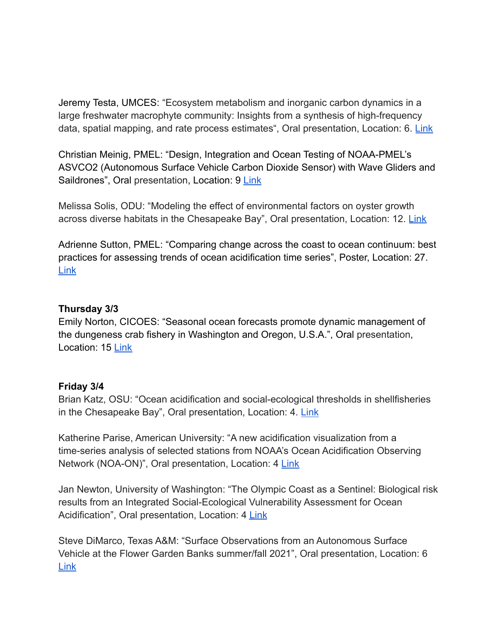Jeremy Testa, UMCES: ["Ecosystem metabolism and inorganic](https://osm2022.secure-platform.com/a/gallery/rounds/3/details/7054) carbon dynamics in a [large freshwater macrophyte community: Insights from a synthesis of high-frequency](https://osm2022.secure-platform.com/a/gallery/rounds/3/details/7054) [data, spatial mapping, and rate process estimates](https://osm2022.secure-platform.com/a/gallery/rounds/3/details/7054)", Oral presentation, Location: 6. [Link](https://osm2022.secure-platform.com/a/gallery/rounds/3/details/7054)

Christian Meinig, PMEL: "Design, Integration and Ocean Testing of NOAA-PMEL's ASVCO2 (Autonomous Surface Vehicle Carbon Dioxide Sensor) with Wave Gliders and Saildrones", Oral presentation, Location: 9 [Link](https://osm2022.secure-platform.com/a/gallery/rounds/3/details/8015)

Melissa Solis, ODU: "[Modeling the effect of environmental](https://osm2022.secure-platform.com/a/gallery/rounds/3/details/3060) factors on oyster growth [across diverse habitats in the Chesapeake Bay](https://osm2022.secure-platform.com/a/gallery/rounds/3/details/3060)", Oral presentation, Location: 12. [Link](https://osm2022.secure-platform.com/a/gallery/rounds/3/details/3060)

Adrienne Sutton, PMEL: "Comparing change across the coast to ocean continuum: best practices for assessing trends of ocean acidification time series", Poster, Location: 27. [Link](https://osm2022.secure-platform.com/a/gallery/rounds/3/details/4554)

## **Thursday 3/3**

Emily Norton, CICOES: "Seasonal ocean forecasts promote dynamic management of the dungeness crab fishery in Washington and Oregon, U.S.A.", Oral presentation, Location: 15 [Link](https://osm2022.secure-platform.com/a/gallery/rounds/3/details/4474)

# **Friday 3/4**

Brian Katz, OSU: "Ocean acidification and social-ecological thresholds in shellfisheries in the Chesapeake Bay", Oral presentation, Location: 4. [Link](https://osm2022.secure-platform.com/a/gallery/rounds/3/details/6318)

Katherine Parise, American University: "A new acidification visualization from a time-series analysis of selected stations from NOAA's Ocean Acidification Observing Network (NOA-ON)", Oral presentation, Location: 4 [Link](https://osm2022.secure-platform.com/a/gallery/rounds/3/details/3425)

Jan Newton, University of Washington: "The Olympic Coast as a Sentinel: Biological risk results from an Integrated Social-Ecological Vulnerability Assessment for Ocean Acidification", Oral presentation, Location: 4 [Link](https://osm2022.secure-platform.com/a/gallery/rounds/3/details/2684)

Steve DiMarco, Texas A&M: "Surface Observations from an Autonomous Surface Vehicle at the Flower Garden Banks summer/fall 2021", Oral presentation, Location: 6 [Link](https://osm2022.secure-platform.com/a/gallery/rounds/3/details/7838)